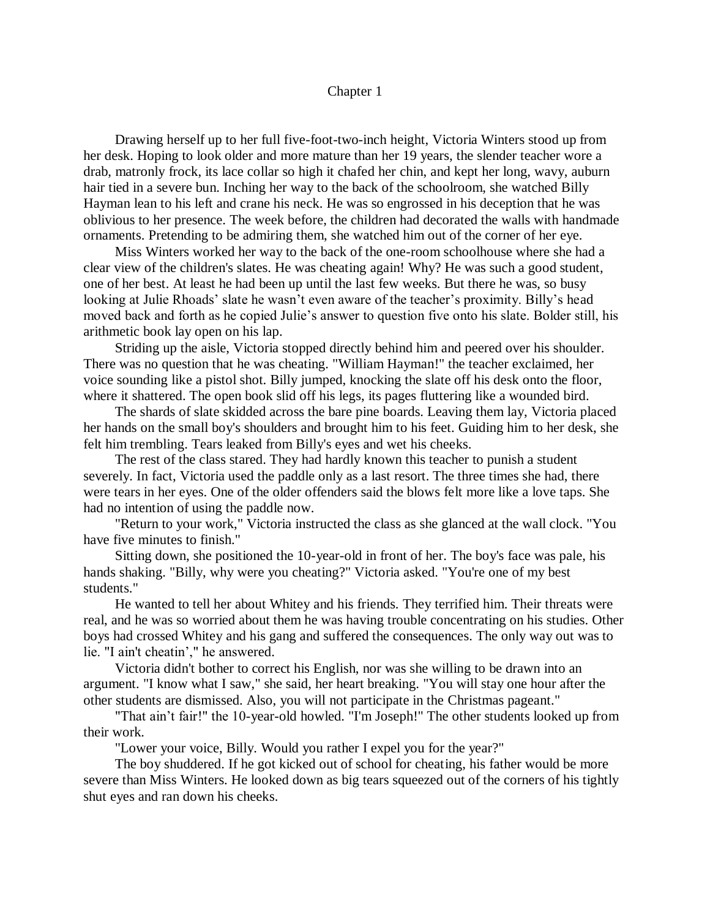## Chapter 1

Drawing herself up to her full five-foot-two-inch height, Victoria Winters stood up from her desk. Hoping to look older and more mature than her 19 years, the slender teacher wore a drab, matronly frock, its lace collar so high it chafed her chin, and kept her long, wavy, auburn hair tied in a severe bun. Inching her way to the back of the schoolroom, she watched Billy Hayman lean to his left and crane his neck. He was so engrossed in his deception that he was oblivious to her presence. The week before, the children had decorated the walls with handmade ornaments. Pretending to be admiring them, she watched him out of the corner of her eye.

Miss Winters worked her way to the back of the one-room schoolhouse where she had a clear view of the children's slates. He was cheating again! Why? He was such a good student, one of her best. At least he had been up until the last few weeks. But there he was, so busy looking at Julie Rhoads' slate he wasn't even aware of the teacher's proximity. Billy's head moved back and forth as he copied Julie's answer to question five onto his slate. Bolder still, his arithmetic book lay open on his lap.

Striding up the aisle, Victoria stopped directly behind him and peered over his shoulder. There was no question that he was cheating. "William Hayman!" the teacher exclaimed, her voice sounding like a pistol shot. Billy jumped, knocking the slate off his desk onto the floor, where it shattered. The open book slid off his legs, its pages fluttering like a wounded bird.

The shards of slate skidded across the bare pine boards. Leaving them lay, Victoria placed her hands on the small boy's shoulders and brought him to his feet. Guiding him to her desk, she felt him trembling. Tears leaked from Billy's eyes and wet his cheeks.

The rest of the class stared. They had hardly known this teacher to punish a student severely. In fact, Victoria used the paddle only as a last resort. The three times she had, there were tears in her eyes. One of the older offenders said the blows felt more like a love taps. She had no intention of using the paddle now.

"Return to your work," Victoria instructed the class as she glanced at the wall clock. "You have five minutes to finish."

Sitting down, she positioned the 10-year-old in front of her. The boy's face was pale, his hands shaking. "Billy, why were you cheating?" Victoria asked. "You're one of my best students."

He wanted to tell her about Whitey and his friends. They terrified him. Their threats were real, and he was so worried about them he was having trouble concentrating on his studies. Other boys had crossed Whitey and his gang and suffered the consequences. The only way out was to lie. "I ain't cheatin'," he answered.

Victoria didn't bother to correct his English, nor was she willing to be drawn into an argument. "I know what I saw," she said, her heart breaking. "You will stay one hour after the other students are dismissed. Also, you will not participate in the Christmas pageant."

"That ain't fair!" the 10-year-old howled. "I'm Joseph!" The other students looked up from their work.

"Lower your voice, Billy. Would you rather I expel you for the year?"

The boy shuddered. If he got kicked out of school for cheating, his father would be more severe than Miss Winters. He looked down as big tears squeezed out of the corners of his tightly shut eyes and ran down his cheeks.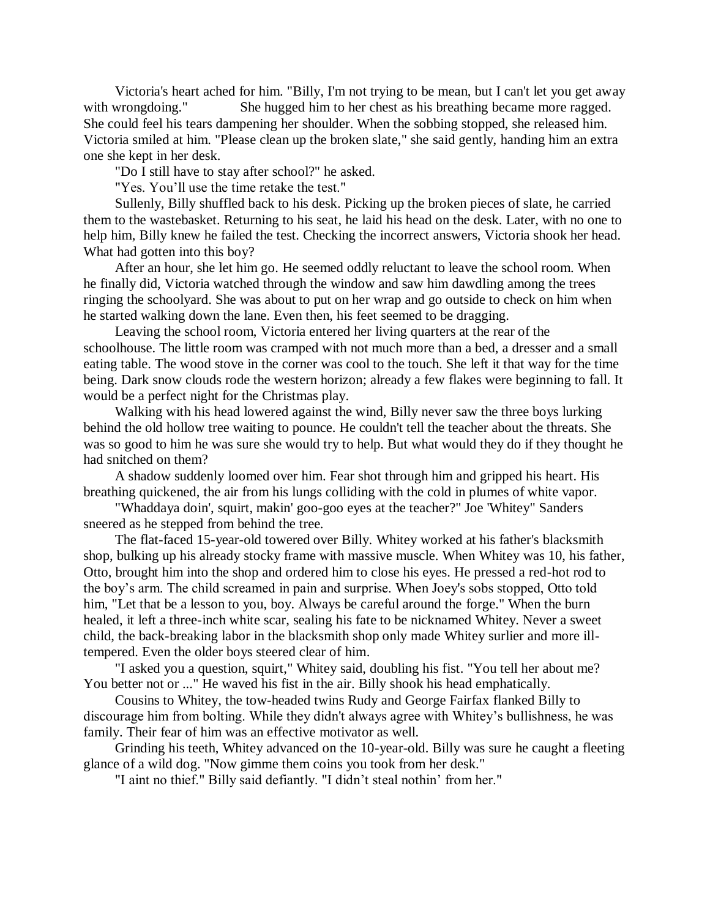Victoria's heart ached for him. "Billy, I'm not trying to be mean, but I can't let you get away with wrongdoing." She hugged him to her chest as his breathing became more ragged. She could feel his tears dampening her shoulder. When the sobbing stopped, she released him. Victoria smiled at him. "Please clean up the broken slate," she said gently, handing him an extra one she kept in her desk.

"Do I still have to stay after school?" he asked.

"Yes. You'll use the time retake the test."

Sullenly, Billy shuffled back to his desk. Picking up the broken pieces of slate, he carried them to the wastebasket. Returning to his seat, he laid his head on the desk. Later, with no one to help him, Billy knew he failed the test. Checking the incorrect answers, Victoria shook her head. What had gotten into this boy?

After an hour, she let him go. He seemed oddly reluctant to leave the school room. When he finally did, Victoria watched through the window and saw him dawdling among the trees ringing the schoolyard. She was about to put on her wrap and go outside to check on him when he started walking down the lane. Even then, his feet seemed to be dragging.

Leaving the school room, Victoria entered her living quarters at the rear of the schoolhouse. The little room was cramped with not much more than a bed, a dresser and a small eating table. The wood stove in the corner was cool to the touch. She left it that way for the time being. Dark snow clouds rode the western horizon; already a few flakes were beginning to fall. It would be a perfect night for the Christmas play.

Walking with his head lowered against the wind, Billy never saw the three boys lurking behind the old hollow tree waiting to pounce. He couldn't tell the teacher about the threats. She was so good to him he was sure she would try to help. But what would they do if they thought he had snitched on them?

A shadow suddenly loomed over him. Fear shot through him and gripped his heart. His breathing quickened, the air from his lungs colliding with the cold in plumes of white vapor.

"Whaddaya doin', squirt, makin' goo-goo eyes at the teacher?" Joe 'Whitey" Sanders sneered as he stepped from behind the tree.

The flat-faced 15-year-old towered over Billy. Whitey worked at his father's blacksmith shop, bulking up his already stocky frame with massive muscle. When Whitey was 10, his father, Otto, brought him into the shop and ordered him to close his eyes. He pressed a red-hot rod to the boy's arm. The child screamed in pain and surprise. When Joey's sobs stopped, Otto told him, "Let that be a lesson to you, boy. Always be careful around the forge." When the burn healed, it left a three-inch white scar, sealing his fate to be nicknamed Whitey. Never a sweet child, the back-breaking labor in the blacksmith shop only made Whitey surlier and more illtempered. Even the older boys steered clear of him.

"I asked you a question, squirt," Whitey said, doubling his fist. "You tell her about me? You better not or ..." He waved his fist in the air. Billy shook his head emphatically.

Cousins to Whitey, the tow-headed twins Rudy and George Fairfax flanked Billy to discourage him from bolting. While they didn't always agree with Whitey's bullishness, he was family. Their fear of him was an effective motivator as well.

Grinding his teeth, Whitey advanced on the 10-year-old. Billy was sure he caught a fleeting glance of a wild dog. "Now gimme them coins you took from her desk."

"I aint no thief." Billy said defiantly. "I didn't steal nothin' from her."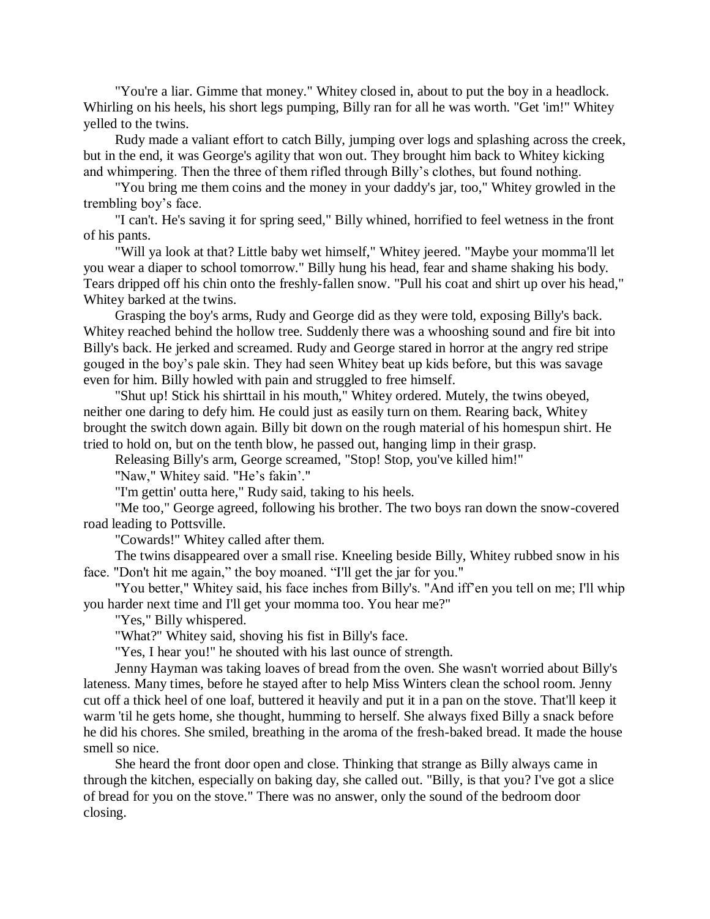"You're a liar. Gimme that money." Whitey closed in, about to put the boy in a headlock. Whirling on his heels, his short legs pumping, Billy ran for all he was worth. "Get 'im!" Whitey yelled to the twins.

Rudy made a valiant effort to catch Billy, jumping over logs and splashing across the creek, but in the end, it was George's agility that won out. They brought him back to Whitey kicking and whimpering. Then the three of them rifled through Billy's clothes, but found nothing.

"You bring me them coins and the money in your daddy's jar, too," Whitey growled in the trembling boy's face.

"I can't. He's saving it for spring seed," Billy whined, horrified to feel wetness in the front of his pants.

"Will ya look at that? Little baby wet himself," Whitey jeered. "Maybe your momma'll let you wear a diaper to school tomorrow." Billy hung his head, fear and shame shaking his body. Tears dripped off his chin onto the freshly-fallen snow. "Pull his coat and shirt up over his head," Whitey barked at the twins.

Grasping the boy's arms, Rudy and George did as they were told, exposing Billy's back. Whitey reached behind the hollow tree. Suddenly there was a whooshing sound and fire bit into Billy's back. He jerked and screamed. Rudy and George stared in horror at the angry red stripe gouged in the boy's pale skin. They had seen Whitey beat up kids before, but this was savage even for him. Billy howled with pain and struggled to free himself.

"Shut up! Stick his shirttail in his mouth," Whitey ordered. Mutely, the twins obeyed, neither one daring to defy him. He could just as easily turn on them. Rearing back, Whitey brought the switch down again. Billy bit down on the rough material of his homespun shirt. He tried to hold on, but on the tenth blow, he passed out, hanging limp in their grasp.

Releasing Billy's arm, George screamed, "Stop! Stop, you've killed him!"

"Naw," Whitey said. "He's fakin'."

"I'm gettin' outta here," Rudy said, taking to his heels.

"Me too," George agreed, following his brother. The two boys ran down the snow-covered road leading to Pottsville.

"Cowards!" Whitey called after them.

The twins disappeared over a small rise. Kneeling beside Billy, Whitey rubbed snow in his face. "Don't hit me again," the boy moaned. "I'll get the jar for you."

"You better," Whitey said, his face inches from Billy's. "And iff'en you tell on me; I'll whip you harder next time and I'll get your momma too. You hear me?"

"Yes," Billy whispered.

"What?" Whitey said, shoving his fist in Billy's face.

"Yes, I hear you!" he shouted with his last ounce of strength.

Jenny Hayman was taking loaves of bread from the oven. She wasn't worried about Billy's lateness. Many times, before he stayed after to help Miss Winters clean the school room. Jenny cut off a thick heel of one loaf, buttered it heavily and put it in a pan on the stove. That'll keep it warm 'til he gets home, she thought, humming to herself. She always fixed Billy a snack before he did his chores. She smiled, breathing in the aroma of the fresh-baked bread. It made the house smell so nice.

She heard the front door open and close. Thinking that strange as Billy always came in through the kitchen, especially on baking day, she called out. "Billy, is that you? I've got a slice of bread for you on the stove." There was no answer, only the sound of the bedroom door closing.